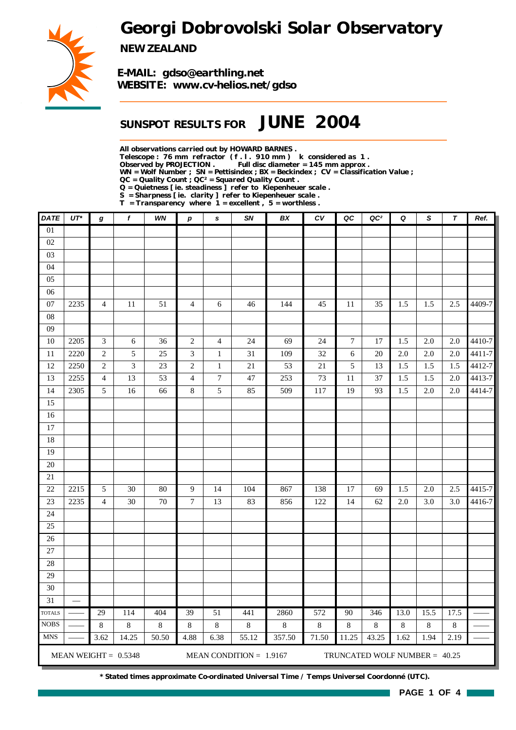*Georgi Dobrovolski Solar Observatory*



*NEW ZEALAND*

*E-MAIL: gdso@earthling.net WEBSITE: www.cv-helios.net/gdso*

## *SUNSPOT RESULTS FOR JUNE 2004*

*All observations carried out by HOWARD BARNES .*

*Telescope : 76 mm refractor ( f . l . 910 mm ) k considered as 1 .*

*Observed by PROJECTION . Full disc diameter = 145 mm approx .*

*WN = Wolf Number ; SN = Pettisindex ; BX = Beckindex ; CV = Classification Value ; QC = Quality Count ; QC² = Squared Quality Count .*

*Q = Quietness [ ie. steadiness ] refer to Kiepenheuer scale .*

*S = Sharpness [ ie. clarity ] refer to Kiepenheuer scale .*

*T = Transparency where 1 = excellent , 5 = worthless .*

| <b>DATE</b>     | $UT^*$ | g                           | f                      | <b>WN</b>      | $\boldsymbol{p}$ | s                | SN                        | BX      | c <sub>V</sub> | QC               | QC <sup>2</sup>               | Q     | S                | $\boldsymbol{\tau}$ | Ref.   |
|-----------------|--------|-----------------------------|------------------------|----------------|------------------|------------------|---------------------------|---------|----------------|------------------|-------------------------------|-------|------------------|---------------------|--------|
| 01              |        |                             |                        |                |                  |                  |                           |         |                |                  |                               |       |                  |                     |        |
| 02              |        |                             |                        |                |                  |                  |                           |         |                |                  |                               |       |                  |                     |        |
| 03              |        |                             |                        |                |                  |                  |                           |         |                |                  |                               |       |                  |                     |        |
| 04              |        |                             |                        |                |                  |                  |                           |         |                |                  |                               |       |                  |                     |        |
| $05\,$          |        |                             |                        |                |                  |                  |                           |         |                |                  |                               |       |                  |                     |        |
| $06\,$          |        |                             |                        |                |                  |                  |                           |         |                |                  |                               |       |                  |                     |        |
| $07\,$          | 2235   | $\overline{4}$              | 11                     | 51             | $\overline{4}$   | $\sqrt{6}$       | 46                        | 144     | 45             | 11               | 35                            | 1.5   | 1.5              | 2.5                 | 4409-7 |
| ${\bf 08}$      |        |                             |                        |                |                  |                  |                           |         |                |                  |                               |       |                  |                     |        |
| 09              |        |                             |                        |                |                  |                  |                           |         |                |                  |                               |       |                  |                     |        |
| $10\,$          | 2205   | $\ensuremath{\mathfrak{Z}}$ | $\epsilon$             | 36             | $\sqrt{2}$       | $\overline{4}$   | 24                        | 69      | 24             | $\boldsymbol{7}$ | 17                            | 1.5   | 2.0              | 2.0                 | 4410-7 |
| $11\,$          | 2220   | $\sqrt{2}$                  | 5                      | 25             | 3                | $\mathbf{1}$     | $31\,$                    | 109     | 32             | 6                | 20                            | 2.0   | $\overline{2.0}$ | 2.0                 | 4411-7 |
| 12              | 2250   | $\sqrt{2}$                  | $\mathfrak{Z}$         | $23\,$         | $\sqrt{2}$       | $\,1\,$          | $21\,$                    | 53      | $21\,$         | 5                | 13                            | 1.5   | 1.5              | 1.5                 | 4412-7 |
| 13              | 2255   | $\overline{\mathbf{4}}$     | 13                     | 53             | $\overline{4}$   | $\boldsymbol{7}$ | $47\,$                    | 253     | 73             | 11               | 37                            | 1.5   | 1.5              | $2.0\,$             | 4413-7 |
| 14              | 2305   | 5                           | 16                     | 66             | $\,8\,$          | $\sqrt{5}$       | 85                        | 509     | 117            | 19               | 93                            | 1.5   | 2.0              | $2.0\,$             | 4414-7 |
| 15              |        |                             |                        |                |                  |                  |                           |         |                |                  |                               |       |                  |                     |        |
| 16              |        |                             |                        |                |                  |                  |                           |         |                |                  |                               |       |                  |                     |        |
| 17              |        |                             |                        |                |                  |                  |                           |         |                |                  |                               |       |                  |                     |        |
| 18              |        |                             |                        |                |                  |                  |                           |         |                |                  |                               |       |                  |                     |        |
| 19              |        |                             |                        |                |                  |                  |                           |         |                |                  |                               |       |                  |                     |        |
| 20              |        |                             |                        |                |                  |                  |                           |         |                |                  |                               |       |                  |                     |        |
| $21\,$          |        |                             |                        |                |                  |                  |                           |         |                |                  |                               |       |                  |                     |        |
| $22\,$          | 2215   | $\sqrt{5}$                  | 30                     | 80             | $\overline{9}$   | 14               | 104                       | 867     | 138            | 17               | 69                            | 1.5   | 2.0              | 2.5                 | 4415-7 |
| 23              | 2235   | $\overline{\mathbf{4}}$     | 30                     | $70\,$         | $\boldsymbol{7}$ | 13               | 83                        | 856     | 122            | 14               | 62                            | 2.0   | 3.0              | 3.0                 | 4416-7 |
| 24              |        |                             |                        |                |                  |                  |                           |         |                |                  |                               |       |                  |                     |        |
| 25              |        |                             |                        |                |                  |                  |                           |         |                |                  |                               |       |                  |                     |        |
| 26              |        |                             |                        |                |                  |                  |                           |         |                |                  |                               |       |                  |                     |        |
| $27\,$          |        |                             |                        |                |                  |                  |                           |         |                |                  |                               |       |                  |                     |        |
| 28              |        |                             |                        |                |                  |                  |                           |         |                |                  |                               |       |                  |                     |        |
| 29              |        |                             |                        |                |                  |                  |                           |         |                |                  |                               |       |                  |                     |        |
| 30              |        |                             |                        |                |                  |                  |                           |         |                |                  |                               |       |                  |                     |        |
| $\overline{31}$ |        |                             |                        |                |                  |                  |                           |         |                |                  |                               |       |                  |                     |        |
| <b>TOTALS</b>   |        | 29                          | 114                    | 404            | 39               | $\overline{51}$  | 441                       | 2860    | 572            | $90\,$           | 346                           | 13.0  | 15.5             | 17.5                |        |
| <b>NOBS</b>     |        | $8\,$                       | 8                      | $\overline{8}$ | $\,8\,$          | $8\,$            | $\,8\,$                   | $\,8\,$ | $\overline{8}$ | $\,8\,$          | $\,8\,$                       | $8\,$ | $\overline{8}$   | $8\,$               |        |
| <b>MNS</b>      |        | 3.62                        | 14.25                  | 50.50          | 4.88             | 6.38             | 55.12                     | 357.50  | 71.50          | 11.25            | 43.25                         | 1.62  | 1.94             | 2.19                |        |
|                 |        |                             | MEAN WEIGHT = $0.5348$ |                |                  |                  | MEAN CONDITION = $1.9167$ |         |                |                  | TRUNCATED WOLF NUMBER = 40.25 |       |                  |                     |        |

*\* Stated times approximate Co-ordinated Universal Time / Temps Universel Coordonné (UTC).*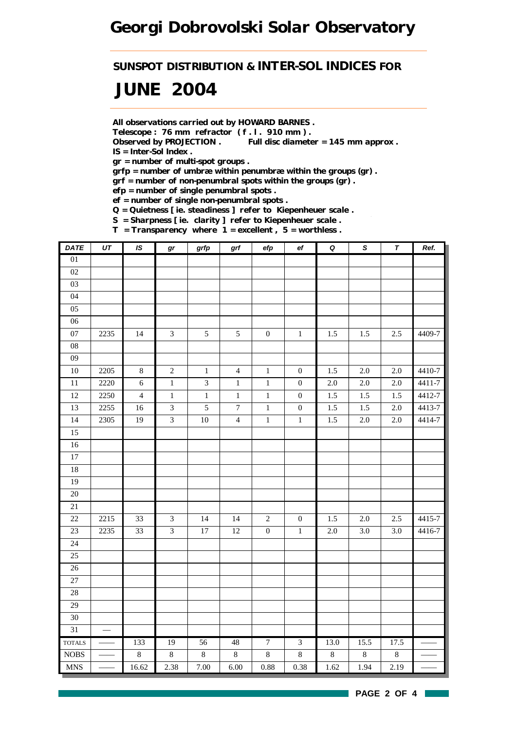*SUNSPOT DISTRIBUTION & INTER-SOL INDICES FOR*

# *JUNE 2004*

*All observations carried out by HOWARD BARNES .*

*Telescope : 76 mm refractor ( f . l . 910 mm ) .*

*Observed by PROJECTION . Full disc diameter = 145 mm approx . IS = Inter-Sol Index .*

*gr = number of multi-spot groups .*

*grfp = number of umbræ within penumbræ within the groups (gr) .*

*grf = number of non-penumbral spots within the groups (gr) .*

*efp = number of single penumbral spots .*

*ef = number of single non-penumbral spots .*

*Q = Quietness [ ie. steadiness ] refer to Kiepenheuer scale .*

*S = Sharpness [ ie. clarity ] refer to Kiepenheuer scale .*

*T = Transparency where 1 = excellent , 5 = worthless .*

| <b>DATE</b>     | $\overline{UT}$   | IS             | gr             | grfp           | grf              | efp              | $\mathsf{e} \mathsf{f}$ | $\pmb Q$         | $\overline{s}$   | $\overline{\tau}$ | Ref.   |
|-----------------|-------------------|----------------|----------------|----------------|------------------|------------------|-------------------------|------------------|------------------|-------------------|--------|
| $\overline{01}$ |                   |                |                |                |                  |                  |                         |                  |                  |                   |        |
| $02\,$          |                   |                |                |                |                  |                  |                         |                  |                  |                   |        |
| 03              |                   |                |                |                |                  |                  |                         |                  |                  |                   |        |
| 04              |                   |                |                |                |                  |                  |                         |                  |                  |                   |        |
| 05              |                   |                |                |                |                  |                  |                         |                  |                  |                   |        |
| 06              |                   |                |                |                |                  |                  |                         |                  |                  |                   |        |
| 07              | 2235              | 14             | $\mathfrak{Z}$ | 5              | $\sqrt{5}$       | $\boldsymbol{0}$ | $\,1$                   | 1.5              | 1.5              | 2.5               | 4409-7 |
| ${\bf 08}$      |                   |                |                |                |                  |                  |                         |                  |                  |                   |        |
| 09              |                   |                |                |                |                  |                  |                         |                  |                  |                   |        |
| $10\,$          | 2205              | $8\,$          | $\sqrt{2}$     | $\,1$          | $\overline{4}$   | $\,1$            | $\boldsymbol{0}$        | 1.5              | $2.0\,$          | 2.0               | 4410-7 |
| $\overline{11}$ | 2220              | $\epsilon$     | $\overline{1}$ | $\overline{3}$ | $\mathbf 1$      | $\overline{1}$   | $\boldsymbol{0}$        | $\overline{2.0}$ | $\overline{2.0}$ | $\overline{2.0}$  | 4411-7 |
| $12\,$          | 2250              | $\overline{4}$ | $\,1$          | $\,1$          | $\,1\,$          | $\,1\,$          | $\boldsymbol{0}$        | 1.5              | 1.5              | $1.5$             | 4412-7 |
| 13              | 2255              | 16             | $\overline{3}$ | 5              | $\boldsymbol{7}$ | $\,1\,$          | $\boldsymbol{0}$        | 1.5              | 1.5              | 2.0               | 4413-7 |
| 14              | 2305              | 19             | $\overline{3}$ | $10\,$         | $\overline{4}$   | $\,1\,$          | $\,1\,$                 | 1.5              | $2.0\,$          | 2.0               | 4414-7 |
| 15              |                   |                |                |                |                  |                  |                         |                  |                  |                   |        |
| $16\,$          |                   |                |                |                |                  |                  |                         |                  |                  |                   |        |
| $17\,$          |                   |                |                |                |                  |                  |                         |                  |                  |                   |        |
| $18\,$          |                   |                |                |                |                  |                  |                         |                  |                  |                   |        |
| 19              |                   |                |                |                |                  |                  |                         |                  |                  |                   |        |
| 20              |                   |                |                |                |                  |                  |                         |                  |                  |                   |        |
| 21              |                   |                |                |                |                  |                  |                         |                  |                  |                   |        |
| $22\,$          | 2215              | 33             | $\mathfrak{Z}$ | 14             | 14               | $\sqrt{2}$       | $\boldsymbol{0}$        | 1.5              | $2.0\,$          | 2.5               | 4415-7 |
| 23              | $\overline{2235}$ | 33             | $\overline{3}$ | $17\,$         | $12\,$           | $\boldsymbol{0}$ | $\mathbf 1$             | $2.0\,$          | 3.0              | 3.0               | 4416-7 |
| 24              |                   |                |                |                |                  |                  |                         |                  |                  |                   |        |
| 25              |                   |                |                |                |                  |                  |                         |                  |                  |                   |        |
| $\overline{26}$ |                   |                |                |                |                  |                  |                         |                  |                  |                   |        |
| 27              |                   |                |                |                |                  |                  |                         |                  |                  |                   |        |
| 28              |                   |                |                |                |                  |                  |                         |                  |                  |                   |        |
| 29              |                   |                |                |                |                  |                  |                         |                  |                  |                   |        |
| $30\,$          |                   |                |                |                |                  |                  |                         |                  |                  |                   |        |
| 31              | $\equiv$          |                |                |                |                  |                  |                         |                  |                  |                   |        |
| <b>TOTALS</b>   |                   | 133            | 19             | 56             | 48               | $\overline{7}$   | $\overline{3}$          | 13.0             | 15.5             | 17.5              |        |
| <b>NOBS</b>     |                   | $\,8\,$        | $8\,$          | $\,8\,$        | $\,8\,$          | $8\,$            | $8\,$                   | $8\,$            | $\bf8$           | $\,8\,$           |        |
| <b>MNS</b>      |                   | 16.62          | 2.38           | 7.00           | 6.00             | $\rm 0.88$       | 0.38                    | 1.62             | 1.94             | $\overline{2.19}$ |        |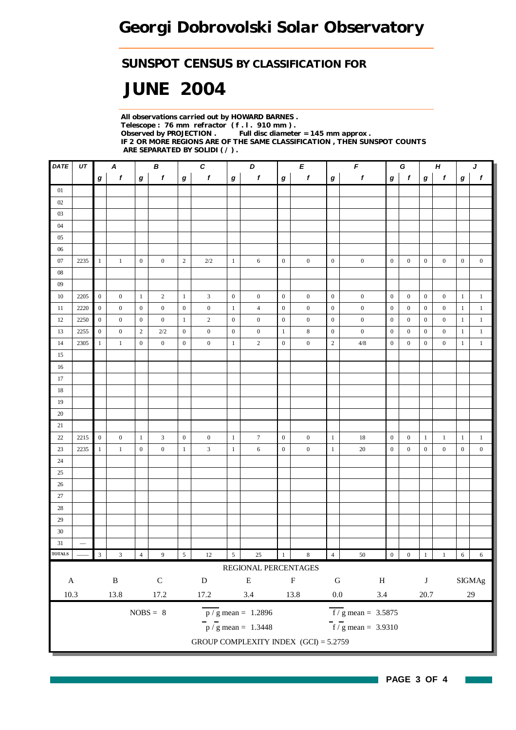## *SUNSPOT CENSUS BY CLASSIFICATION FOR*

# *JUNE 2004*

*All observations carried out by HOWARD BARNES . Telescope : 76 mm refractor ( f . l . 910 mm ) . Observed by PROJECTION . Full disc diameter = 145 mm approx . IF 2 OR MORE REGIONS ARE OF THE SAME CLASSIFICATION , THEN SUNSPOT COUNTS ARE SEPARATED BY SOLIDI ( / ) .*

| DATE          | UT                       |                         | A                       |                  | В                |                  | $\boldsymbol{c}$ |                  | D                                       |                  | E                | $\pmb{\mathit{F}}$<br>$\pmb H$<br>G |                                           |                  |                |                  | J                 |                  |                  |
|---------------|--------------------------|-------------------------|-------------------------|------------------|------------------|------------------|------------------|------------------|-----------------------------------------|------------------|------------------|-------------------------------------|-------------------------------------------|------------------|----------------|------------------|-------------------|------------------|------------------|
|               |                          | $\boldsymbol{g}$        | $\boldsymbol{f}$        | g                | $\pmb{f}$        | $\boldsymbol{g}$ | $\mathbf{f}$     | $\boldsymbol{g}$ | $\pmb{f}$                               | $\boldsymbol{g}$ | f                | g                                   | $\pmb{f}$                                 | $\bm{g}$         | $\mathbf f$    | $\bm{g}$         | $\pmb{f}$         | g                | $\pmb{f}$        |
| 01            |                          |                         |                         |                  |                  |                  |                  |                  |                                         |                  |                  |                                     |                                           |                  |                |                  |                   |                  |                  |
| 02            |                          |                         |                         |                  |                  |                  |                  |                  |                                         |                  |                  |                                     |                                           |                  |                |                  |                   |                  |                  |
| 03            |                          |                         |                         |                  |                  |                  |                  |                  |                                         |                  |                  |                                     |                                           |                  |                |                  |                   |                  |                  |
| 04            |                          |                         |                         |                  |                  |                  |                  |                  |                                         |                  |                  |                                     |                                           |                  |                |                  |                   |                  |                  |
| 05            |                          |                         |                         |                  |                  |                  |                  |                  |                                         |                  |                  |                                     |                                           |                  |                |                  |                   |                  |                  |
| 06            |                          |                         |                         |                  |                  |                  |                  |                  |                                         |                  |                  |                                     |                                           |                  |                |                  |                   |                  |                  |
| 07            | 2235                     | $\mathbf{1}$            | $\mathbf{1}$            | $\mathbf{0}$     | $\boldsymbol{0}$ | $\overline{2}$   | 2/2              | $\mathbf{1}$     | 6                                       | $\mathbf{0}$     | $\boldsymbol{0}$ | $\mathbf{0}$                        | $\boldsymbol{0}$                          | $\mathbf{0}$     | $\mathbf{0}$   | $\boldsymbol{0}$ | $\boldsymbol{0}$  | $\boldsymbol{0}$ | $\boldsymbol{0}$ |
| 08            |                          |                         |                         |                  |                  |                  |                  |                  |                                         |                  |                  |                                     |                                           |                  |                |                  |                   |                  |                  |
| 09            |                          |                         |                         |                  |                  |                  |                  |                  |                                         |                  |                  |                                     |                                           |                  |                |                  |                   |                  |                  |
| 10            | 2205                     | $\mathbf{0}$            | $\mathbf{0}$            | $\mathbf{1}$     | $\overline{2}$   | $\mathbf{1}$     | 3                | $\boldsymbol{0}$ | $\boldsymbol{0}$                        | $\mathbf{0}$     | $\boldsymbol{0}$ | $\boldsymbol{0}$                    | $\boldsymbol{0}$                          | $\boldsymbol{0}$ | $\mathbf{0}$   | $\boldsymbol{0}$ | $\boldsymbol{0}$  | $\mathbf{1}$     | $\mathbf{1}$     |
| 11            | 2220                     | $\boldsymbol{0}$        | $\boldsymbol{0}$        | $\mathbf{0}$     | $\mathbf{0}$     | $\overline{0}$   | $\boldsymbol{0}$ | $\mathbf{1}$     | $\overline{4}$                          | $\mathbf{0}$     | $\boldsymbol{0}$ | $\overline{0}$                      | $\boldsymbol{0}$                          | $\boldsymbol{0}$ | $\mathbf{0}$   | $\boldsymbol{0}$ | $\boldsymbol{0}$  | $\mathbf{1}$     | $\mathbf{1}$     |
| 12            | 2250                     | $\overline{0}$          | $\boldsymbol{0}$        | $\boldsymbol{0}$ | $\boldsymbol{0}$ | $\mathbf{1}$     | $\overline{2}$   | $\boldsymbol{0}$ | $\boldsymbol{0}$                        | $\mathbf{0}$     | $\boldsymbol{0}$ | $\boldsymbol{0}$                    | $\boldsymbol{0}$                          | $\mathbf{0}$     | $\mathbf{0}$   | $\mathbf{0}$     | $\boldsymbol{0}$  | $\mathbf{1}$     | $\mathbf{1}$     |
| 13            | 2255                     | $\boldsymbol{0}$        | $\mathbf{0}$            | 2                | 2/2              | $\mathbf{0}$     | $\boldsymbol{0}$ | $\boldsymbol{0}$ | $\overline{0}$                          | $\mathbf{1}$     | $\bf 8$          | $\boldsymbol{0}$                    | $\boldsymbol{0}$                          | $\boldsymbol{0}$ | $\mathbf{0}$   | $\mathbf{0}$     | $\overline{0}$    | $\mathbf{1}$     | $\mathbf{1}$     |
| 14            | 2305                     | $\mathbf{1}$            | $\mathbf{1}$            | $\boldsymbol{0}$ | $\overline{0}$   | $\boldsymbol{0}$ | $\boldsymbol{0}$ | $\mathbf{1}$     | $\overline{c}$                          | $\boldsymbol{0}$ | $\mathbf{0}$     | $\sqrt{2}$                          | $4/8\,$                                   | $\boldsymbol{0}$ | $\mathbf{0}$   | $\boldsymbol{0}$ | $\boldsymbol{0}$  | 1                | $\mathbf{1}$     |
| 15            |                          |                         |                         |                  |                  |                  |                  |                  |                                         |                  |                  |                                     |                                           |                  |                |                  |                   |                  |                  |
| 16            |                          |                         |                         |                  |                  |                  |                  |                  |                                         |                  |                  |                                     |                                           |                  |                |                  |                   |                  |                  |
| 17            |                          |                         |                         |                  |                  |                  |                  |                  |                                         |                  |                  |                                     |                                           |                  |                |                  |                   |                  |                  |
| $18\,$        |                          |                         |                         |                  |                  |                  |                  |                  |                                         |                  |                  |                                     |                                           |                  |                |                  |                   |                  |                  |
| 19            |                          |                         |                         |                  |                  |                  |                  |                  |                                         |                  |                  |                                     |                                           |                  |                |                  |                   |                  |                  |
| $20\,$        |                          |                         |                         |                  |                  |                  |                  |                  |                                         |                  |                  |                                     |                                           |                  |                |                  |                   |                  |                  |
| 21            |                          |                         |                         |                  |                  |                  |                  |                  |                                         |                  |                  |                                     |                                           |                  |                |                  |                   |                  |                  |
| $22\,$        | 2215                     | $\boldsymbol{0}$        | $\mathbf{0}$            | 1                | 3                | $\boldsymbol{0}$ | $\boldsymbol{0}$ | $\mathbf{1}$     | $\tau$                                  | $\mathbf{0}$     | $\boldsymbol{0}$ | $\mathbf{1}$                        | $18\,$                                    | $\mathbf{0}$     | $\mathbf{0}$   | $\mathbf{1}$     | 1                 | $\mathbf{1}$     | $\mathbf{1}$     |
| 23            | 2235                     | $\mathbf{1}$            | $1\,$                   | $\mathbf{0}$     | $\boldsymbol{0}$ | $\mathbf{1}$     | 3                | $\mathbf{1}$     | 6                                       | $\mathbf{0}$     | $\boldsymbol{0}$ | $\mathbf{1}$                        | $20\,$                                    | $\mathbf{0}$     | $\mathbf{0}$   | $\boldsymbol{0}$ | $\boldsymbol{0}$  | $\boldsymbol{0}$ | $\boldsymbol{0}$ |
| 24            |                          |                         |                         |                  |                  |                  |                  |                  |                                         |                  |                  |                                     |                                           |                  |                |                  |                   |                  |                  |
| 25            |                          |                         |                         |                  |                  |                  |                  |                  |                                         |                  |                  |                                     |                                           |                  |                |                  |                   |                  |                  |
| 26            |                          |                         |                         |                  |                  |                  |                  |                  |                                         |                  |                  |                                     |                                           |                  |                |                  |                   |                  |                  |
| 27            |                          |                         |                         |                  |                  |                  |                  |                  |                                         |                  |                  |                                     |                                           |                  |                |                  |                   |                  |                  |
| $28\,$        |                          |                         |                         |                  |                  |                  |                  |                  |                                         |                  |                  |                                     |                                           |                  |                |                  |                   |                  |                  |
| 29            |                          |                         |                         |                  |                  |                  |                  |                  |                                         |                  |                  |                                     |                                           |                  |                |                  |                   |                  |                  |
| 30            |                          |                         |                         |                  |                  |                  |                  |                  |                                         |                  |                  |                                     |                                           |                  |                |                  |                   |                  |                  |
| 31            | $\overline{\phantom{0}}$ |                         |                         |                  |                  |                  |                  |                  |                                         |                  |                  |                                     |                                           |                  |                |                  |                   |                  |                  |
| <b>TOTALS</b> |                          | $\overline{\mathbf{3}}$ | $\overline{\mathbf{3}}$ | $\overline{4}$   | $\boldsymbol{9}$ | $5\overline{)}$  | 12               | $\sqrt{5}$       | $25\,$                                  | $\mathbf{1}$     | $\bf 8$          | $\overline{4}$                      | $50\,$                                    | $\boldsymbol{0}$ | $\overline{0}$ | $\vert$ 1        | $\qquad \qquad 1$ | $\boxed{6}$      | $\sqrt{6}$       |
|               |                          |                         |                         |                  |                  |                  |                  |                  | REGIONAL PERCENTAGES                    |                  |                  |                                     |                                           |                  |                |                  |                   |                  |                  |
| $\mathbf A$   |                          |                         | $\, {\bf B}$            |                  | $\mathsf C$      |                  | ${\bf D}$        |                  | ${\bf E}$                               |                  | $\mathbf F$      | ${\bf G}$                           | $\, {\rm H}$                              |                  |                | $\bf J$          |                   |                  | $\rm{SIGMAg}$    |
| 10.3          |                          |                         | 13.8                    |                  | 17.2             |                  | 17.2             |                  | 3.4                                     |                  | 13.8             | $0.0\,$                             | $3.4\,$                                   |                  |                | $20.7\,$         |                   |                  | $29\,$           |
|               |                          |                         |                         |                  | $NOBS = 8$       |                  |                  |                  | $\overline{p}/g$ mean = 1.2896          |                  |                  |                                     | $\overline{f}/\overline{g}$ mean = 3.5875 |                  |                |                  |                   |                  |                  |
|               |                          |                         |                         |                  |                  |                  |                  |                  | $p / g$ mean = 1.3448                   |                  |                  |                                     | $\frac{1}{\sqrt{5}}$ mean = 3.9310        |                  |                |                  |                   |                  |                  |
|               |                          |                         |                         |                  |                  |                  |                  |                  | GROUP COMPLEXITY INDEX $(GCI) = 5.2759$ |                  |                  |                                     |                                           |                  |                |                  |                   |                  |                  |
|               |                          |                         |                         |                  |                  |                  |                  |                  |                                         |                  |                  |                                     |                                           |                  |                |                  |                   |                  |                  |

**PAGE 3 OF 4**